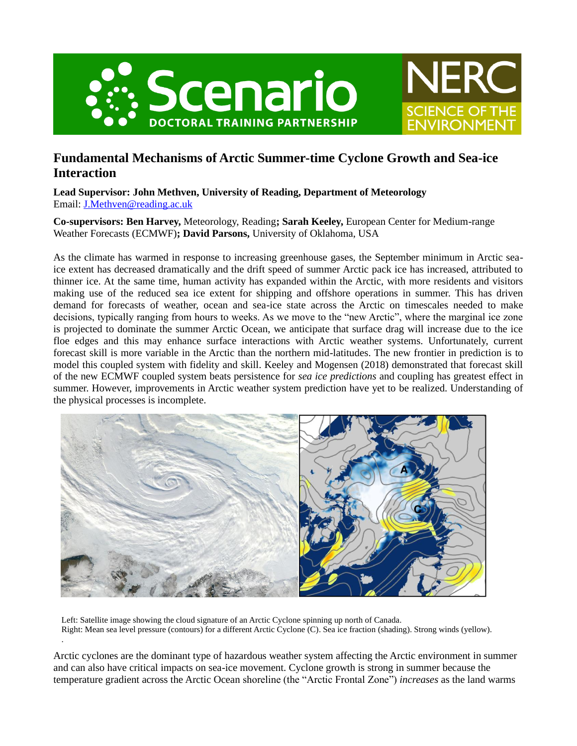



**SCIENCE OF THE** 

ENVIRONMEN

**Lead Supervisor: John Methven, University of Reading, Department of Meteorology** Email: [J.Methven@reading.ac.uk](mailto:J.Methven@reading.ac.uk)

**Co-supervisors: Ben Harvey,** Meteorology, Reading**; Sarah Keeley,** European Center for Medium-range Weather Forecasts (ECMWF)**; David Parsons,** University of Oklahoma, USA

As the climate has warmed in response to increasing greenhouse gases, the September minimum in Arctic seaice extent has decreased dramatically and the drift speed of summer Arctic pack ice has increased, attributed to thinner ice. At the same time, human activity has expanded within the Arctic, with more residents and visitors making use of the reduced sea ice extent for shipping and offshore operations in summer. This has driven demand for forecasts of weather, ocean and sea-ice state across the Arctic on timescales needed to make decisions, typically ranging from hours to weeks. As we move to the "new Arctic", where the marginal ice zone is projected to dominate the summer Arctic Ocean, we anticipate that surface drag will increase due to the ice floe edges and this may enhance surface interactions with Arctic weather systems. Unfortunately, current forecast skill is more variable in the Arctic than the northern mid-latitudes. The new frontier in prediction is to model this coupled system with fidelity and skill. Keeley and Mogensen (2018) demonstrated that forecast skill of the new ECMWF coupled system beats persistence for *sea ice predictions* and coupling has greatest effect in summer. However, improvements in Arctic weather system prediction have yet to be realized. Understanding of the physical processes is incomplete.



Left: Satellite image showing the cloud signature of an Arctic Cyclone spinning up north of Canada. Right: Mean sea level pressure (contours) for a different Arctic Cyclone (C). Sea ice fraction (shading). Strong winds (yellow). .

Arctic cyclones are the dominant type of hazardous weather system affecting the Arctic environment in summer and can also have critical impacts on sea-ice movement. Cyclone growth is strong in summer because the temperature gradient across the Arctic Ocean shoreline (the "Arctic Frontal Zone") *increases* as the land warms